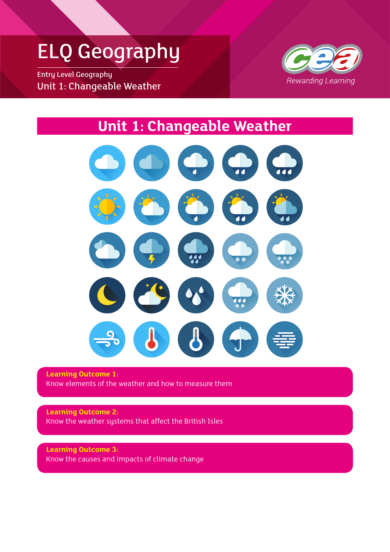### ELQ Geography

Entry Level Geography Unit 1: Changeable Weather



### **Unit 1: Changeable Weather**



**Learning Outcome 1:** Know elements of the weather and how to measure them

**Learning Outcome 2:** Know the weather systems that affect the British Isles

**Learning Outcome 3:** Know the causes and impacts of climate change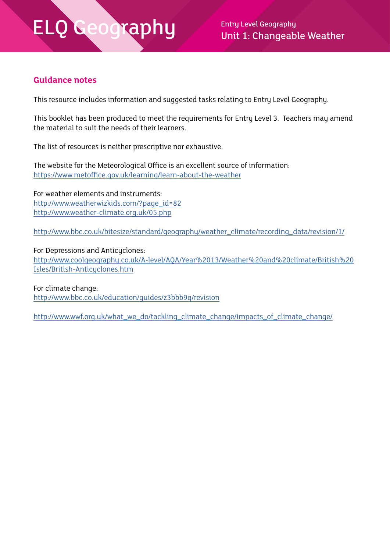Unit 1: Changeable Weather

#### **Guidance notes**

This resource includes information and suggested tasks relating to Entry Level Geography.

This booklet has been produced to meet the requirements for Entry Level 3. Teachers may amend the material to suit the needs of their learners.

The list of resources is neither prescriptive nor exhaustive.

The website for the Meteorological Office is an excellent source of information: <https://www.metoffice.gov.uk/learning/learn-about-the-weather>

For weather elements and instruments: [http://www.weatherwizkids.com/?page\\_id=82](http://www.weatherwizkids.com/?page_id=82) <http://www.weather-climate.org.uk/05.php>

[http://www.bbc.co.uk/bitesize/standard/geography/weather\\_climate/recording\\_data/revision/1/](http://www.bbc.co.uk/bitesize/standard/geography/weather_climate/recording_data/revision/1/)

For Depressions and Anticyclones: [http://www.coolgeography.co.uk/A-level/AQA/Year%2013/Weather%20and%20climate/British%20](http://www.coolgeography.co.uk/A-level/AQA/Year%2013/Weather%20and%20climate/British%20Isles/British-Anticyclones.htm) [Isles/British-Anticyclones.htm](http://www.coolgeography.co.uk/A-level/AQA/Year%2013/Weather%20and%20climate/British%20Isles/British-Anticyclones.htm)

For climate change: <http://www.bbc.co.uk/education/guides/z3bbb9q/revision>

[http://www.wwf.org.uk/what\\_we\\_do/tackling\\_climate\\_change/impacts\\_of\\_climate\\_change/](http://www.wwf.org.uk/what_we_do/tackling_climate_change/impacts_of_climate_change/)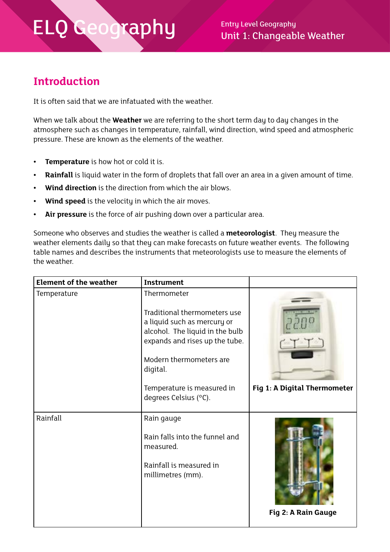$\mathsf{cap}\hspace{0.1cm}\mathsf{U}$  Entry Level Geography Unit 1: Changeable Weather

#### **Introduction**

It is often said that we are infatuated with the weather.

When we talk about the **Weather** we are referring to the short term day to day changes in the atmosphere such as changes in temperature, rainfall, wind direction, wind speed and atmospheric pressure. These are known as the elements of the weather.

- **• Temperature** is how hot or cold it is.
- **• Rainfall** is liquid water in the form of droplets that fall over an area in a given amount of time.
- **• Wind direction** is the direction from which the air blows.
- **• Wind speed** is the velocity in which the air moves.
- **• Air pressure** is the force of air pushing down over a particular area.

Someone who observes and studies the weather is called a **meteorologist**. They measure the weather elements daily so that they can make forecasts on future weather events. The following table names and describes the instruments that meteorologists use to measure the elements of the weather.

| <b>Element of the weather</b> | <b>Instrument</b>                                                                                                                                                                                                                             |                              |
|-------------------------------|-----------------------------------------------------------------------------------------------------------------------------------------------------------------------------------------------------------------------------------------------|------------------------------|
| Temperature                   | Thermometer<br>Traditional thermometers use<br>a liquid such as mercury or<br>alcohol. The liquid in the bulb<br>expands and rises up the tube.<br>Modern thermometers are<br>digital.<br>Temperature is measured in<br>degrees Celsius (°C). | Fig 1: A Digital Thermometer |
| Rainfall                      | Rain gauge<br>Rain falls into the funnel and<br>measured.<br>Rainfall is measured in<br>millimetres (mm).                                                                                                                                     | Fig 2: A Rain Gauge          |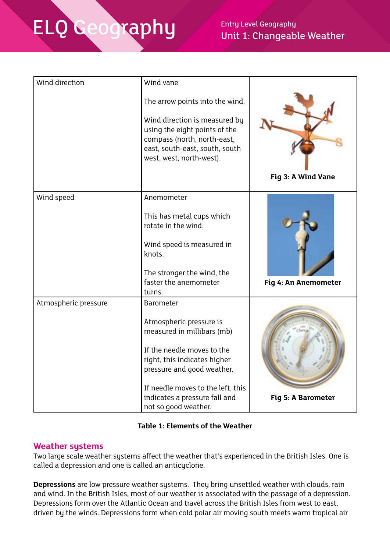### Unit 1: Changeable Weather

| Wind direction       | Wind vane                                                                                                                                                   |                      |
|----------------------|-------------------------------------------------------------------------------------------------------------------------------------------------------------|----------------------|
|                      | The arrow points into the wind.                                                                                                                             |                      |
|                      | Wind direction is measured by<br>using the eight points of the<br>compass (north, north-east,<br>east, south-east, south, south<br>west, west, north-west). |                      |
|                      |                                                                                                                                                             | Fig 3: A Wind Vane   |
| Wind speed           | Anemometer                                                                                                                                                  |                      |
|                      | This has metal cups which<br>rotate in the wind.                                                                                                            |                      |
|                      | Wind speed is measured in<br>knots.                                                                                                                         |                      |
|                      | The stronger the wind, the                                                                                                                                  |                      |
|                      | faster the anemometer<br>turns.                                                                                                                             | Fig 4: An Anemometer |
| Atmospheric pressure | <b>Barometer</b>                                                                                                                                            |                      |
|                      | Atmospheric pressure is<br>measured in millibars (mb)                                                                                                       |                      |
|                      | If the needle moves to the                                                                                                                                  |                      |
|                      | right, this indicates higher<br>pressure and good weather.                                                                                                  |                      |
|                      | If needle moves to the left, this                                                                                                                           |                      |
|                      | indicates a pressure fall and                                                                                                                               | Fig 5: A Barometer   |
|                      | not so good weather.                                                                                                                                        |                      |

#### **Table 1: Elements of the Weather**

#### **Weather systems**

Two large scale weather systems affect the weather that's experienced in the British Isles. One is called a depression and one is called an anticyclone.

**Depressions** are low pressure weather systems. They bring unsettled weather with clouds, rain and wind. In the British Isles, most of our weather is associated with the passage of a depression. Depressions form over the Atlantic Ocean and travel across the British Isles from west to east, driven by the winds. Depressions form when cold polar air moving south meets warm tropical air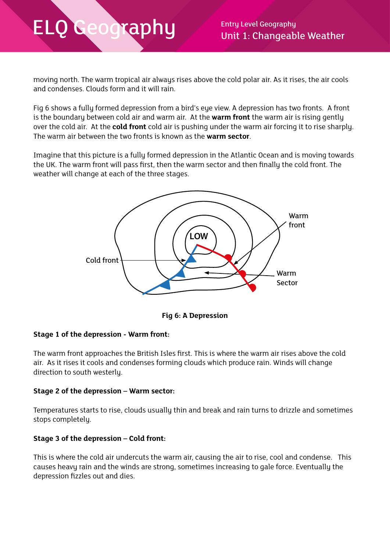moving north. The warm tropical air always rises above the cold polar air. As it rises, the air cools and condenses. Clouds form and it will rain.

Fig 6 shows a fully formed depression from a bird's eye view. A depression has two fronts. A front is the boundary between cold air and warm air. At the **warm front** the warm air is rising gently over the cold air. At the **cold front** cold air is pushing under the warm air forcing it to rise sharply. The warm air between the two fronts is known as the **warm sector**.

Imagine that this picture is a fully formed depression in the Atlantic Ocean and is moving towards the UK. The warm front will pass first, then the warm sector and then finally the cold front. The weather will change at each of the three stages.



**Fig 6: A Depression**

#### **Stage 1 of the depression - Warm front:**

The warm front approaches the British Isles first. This is where the warm air rises above the cold air. As it rises it cools and condenses forming clouds which produce rain. Winds will change direction to south westerly.

#### **Stage 2 of the depression – Warm sector:**

Temperatures starts to rise, clouds usually thin and break and rain turns to drizzle and sometimes stops completely.

#### **Stage 3 of the depression – Cold front:**

This is where the cold air undercuts the warm air, causing the air to rise, cool and condense. This causes heavy rain and the winds are strong, sometimes increasing to gale force. Eventually the depression fizzles out and dies.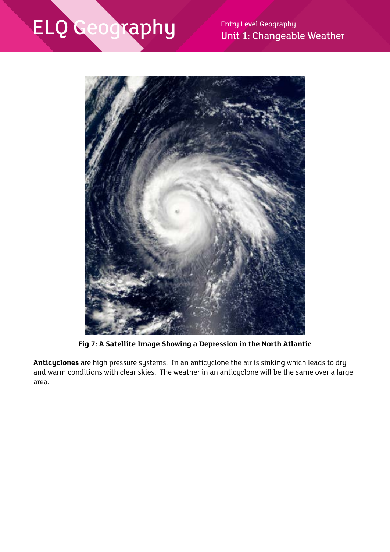Unit 1: Changeable Weather



**Fig 7: A Satellite Image Showing a Depression in the North Atlantic**

**Anticyclones** are high pressure systems. In an anticyclone the air is sinking which leads to dry and warm conditions with clear skies. The weather in an anticyclone will be the same over a large area.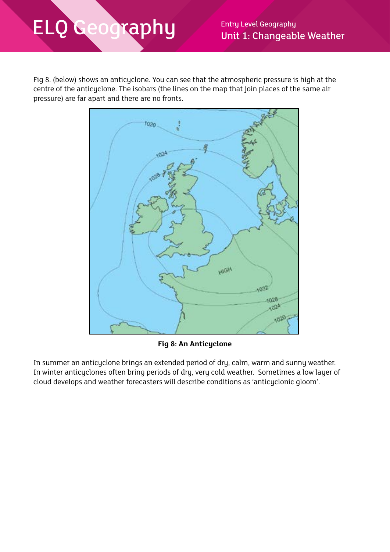Fig 8. (below) shows an anticyclone. You can see that the atmospheric pressure is high at the centre of the anticyclone. The isobars (the lines on the map that join places of the same air pressure) are far apart and there are no fronts.



**Fig 8: An Anticyclone**

In summer an anticyclone brings an extended period of dry, calm, warm and sunny weather. In winter anticyclones often bring periods of dry, very cold weather. Sometimes a low layer of cloud develops and weather forecasters will describe conditions as 'anticyclonic gloom'.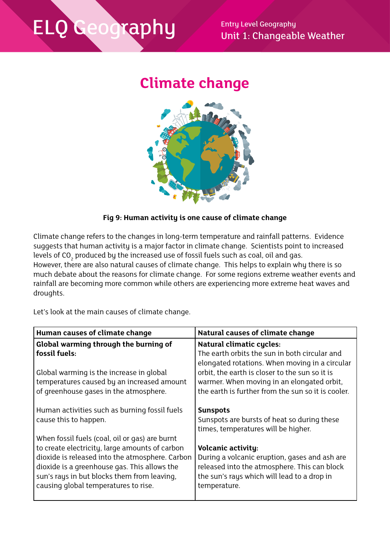Unit 1: Changeable Weather

### **Climate change**



#### **Fig 9: Human activity is one cause of climate change**

Climate change refers to the changes in long-term temperature and rainfall patterns. Evidence suggests that human activity is a major factor in climate change. Scientists point to increased levels of CO $_{\rm 2}$  produced by the increased use of fossil fuels such as coal, oil and gas. However, there are also natural causes of climate change. This helps to explain why there is so much debate about the reasons for climate change. For some regions extreme weather events and rainfall are becoming more common while others are experiencing more extreme heat waves and droughts.

Let's look at the main causes of climate change.

| Human causes of climate change                  | Natural causes of climate change                   |  |
|-------------------------------------------------|----------------------------------------------------|--|
| Global warming through the burning of           | <b>Natural climatic cycles:</b>                    |  |
| fossil fuels:                                   | The earth orbits the sun in both circular and      |  |
|                                                 | elongated rotations. When moving in a circular     |  |
| Global warming is the increase in global        | orbit, the earth is closer to the sun so it is     |  |
| temperatures caused by an increased amount      | warmer. When moving in an elongated orbit,         |  |
| of greenhouse gases in the atmosphere.          | the earth is further from the sun so it is cooler. |  |
|                                                 |                                                    |  |
| Human activities such as burning fossil fuels   | <b>Sunspots</b>                                    |  |
| cause this to happen.                           | Sunspots are bursts of heat so during these        |  |
|                                                 | times, temperatures will be higher.                |  |
| When fossil fuels (coal, oil or gas) are burnt  |                                                    |  |
| to create electricity, large amounts of carbon  | <b>Volcanic activity:</b>                          |  |
| dioxide is released into the atmosphere. Carbon | During a volcanic eruption, gases and ash are      |  |
| dioxide is a greenhouse gas. This allows the    | released into the atmosphere. This can block       |  |
| sun's rays in but blocks them from leaving,     | the sun's rays which will lead to a drop in        |  |
| causing global temperatures to rise.            | temperature.                                       |  |
|                                                 |                                                    |  |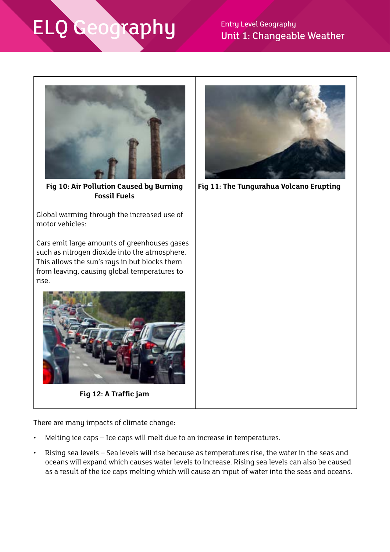### Unit 1: Changeable Weather



**Fig 10: Air Pollution Caused by Burning Fossil Fuels**

Global warming through the increased use of motor vehicles:

Cars emit large amounts of greenhouses gases such as nitrogen dioxide into the atmosphere. This allows the sun's rays in but blocks them from leaving, causing global temperatures to rise.



**Fig 12: A Traffic jam**

There are many impacts of climate change:

- Melting ice caps Ice caps will melt due to an increase in temperatures.
- Rising sea levels Sea levels will rise because as temperatures rise, the water in the seas and oceans will expand which causes water levels to increase. Rising sea levels can also be caused as a result of the ice caps melting which will cause an input of water into the seas and oceans.



**Fig 11: The Tungurahua Volcano Erupting**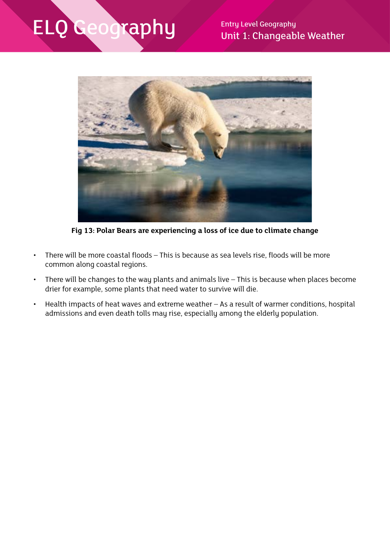## **ELQ Geography** Thirt 1: Changeab



**Fig 13: Polar Bears are experiencing a loss of ice due to climate change**

- There will be more coastal floods This is because as sea levels rise, floods will be more common along coastal regions.
- There will be changes to the way plants and animals live This is because when places become drier for example, some plants that need water to survive will die.
- Health impacts of heat waves and extreme weather As a result of warmer conditions, hospital admissions and even death tolls may rise, especially among the elderly population.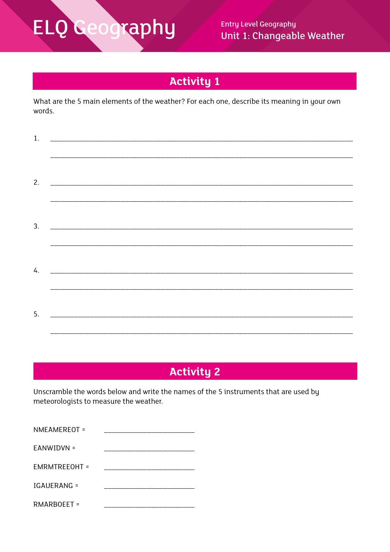## **ELQ Geography**

**Entry Level Geography** Unit 1: Changeable Weather

### **Activity 1**

What are the 5 main elements of the weather? For each one, describe its meaning in your own words.

| 1. |                                                                                                     |                  |  |
|----|-----------------------------------------------------------------------------------------------------|------------------|--|
|    |                                                                                                     | ________________ |  |
| 3. |                                                                                                     |                  |  |
| 4. | <u> 1980 - Jan Barnett, margaret amerikan bizko da bainaren 1980 eta bizko hamarkada (h. 1980).</u> |                  |  |
| 5. |                                                                                                     |                  |  |

### **Activity 2**

Unscramble the words below and write the names of the 5 instruments that are used by meteorologists to measure the weather.

| NMEAMEREOT =       |  |
|--------------------|--|
| EANWIDVN =         |  |
| EMRMTREEOHT =      |  |
| IGAUERANG =        |  |
| <b>RMARBOEET =</b> |  |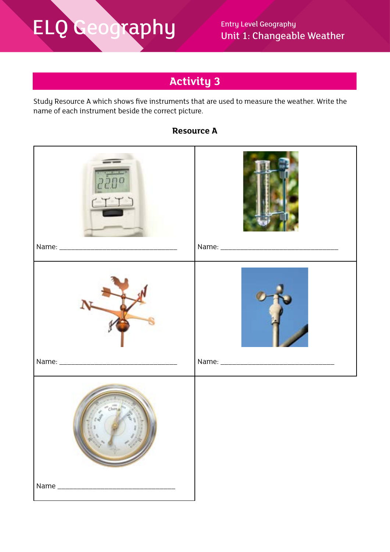### **Activity 3**

Study Resource A which shows five instruments that are used to measure the weather. Write the name of each instrument beside the correct picture.



#### **Resource A**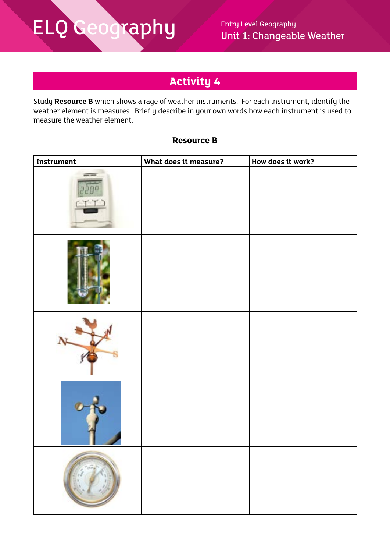### **Activity 4**

Study **Resource B** which shows a rage of weather instruments. For each instrument, identify the weather element is measures. Briefly describe in your own words how each instrument is used to measure the weather element.

#### **Resource B**

| Instrument | What does it measure? | How does it work? |
|------------|-----------------------|-------------------|
|            |                       |                   |
|            |                       |                   |
|            |                       |                   |
|            |                       |                   |
|            |                       |                   |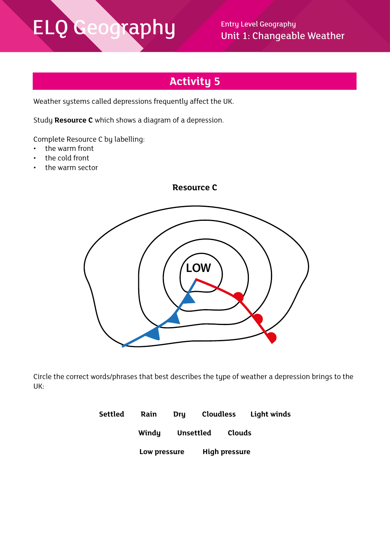Unit 1: Changeable Weather

### **Activity 5**

Weather systems called depressions frequently affect the UK.

Study **Resource C** which shows a diagram of a depression.

Complete Resource C by labelling:

- the warm front
- the cold front
- the warm sector





Circle the correct words/phrases that best describes the type of weather a depression brings to the UK:

| Settled | Rain         | Dru |           | <b>Cloudless</b>     | Light winds |
|---------|--------------|-----|-----------|----------------------|-------------|
|         | Windy        |     | Unsettled | Clouds               |             |
|         | Low pressure |     |           | <b>High pressure</b> |             |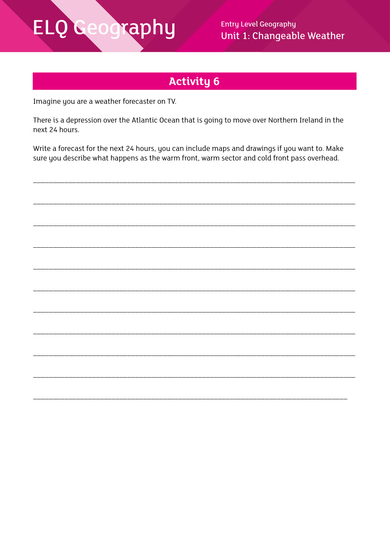### ELQ Geography

**Entry Level Geography** Unit 1: Changeable Weather

### **Activity 6**

Imagine you are a weather forecaster on TV.

There is a depression over the Atlantic Ocean that is going to move over Northern Ireland in the next 24 hours.

Write a forecast for the next 24 hours, you can include maps and drawings if you want to. Make sure you describe what happens as the warm front, warm sector and cold front pass overhead.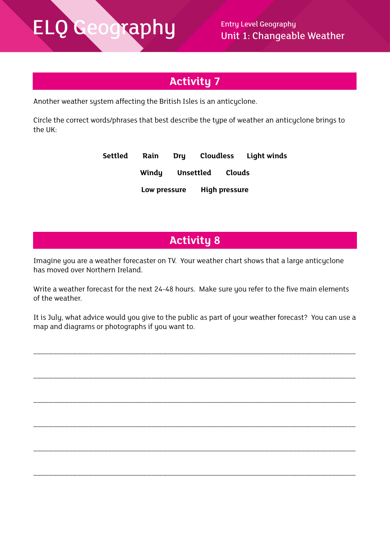### **Activity 7**

Another weather system affecting the British Isles is an anticyclone.

Circle the correct words/phrases that best describe the type of weather an anticyclone brings to the UK:

| Settled | Rain         | <b>Dru</b> |                  |                      | Cloudless Light winds |
|---------|--------------|------------|------------------|----------------------|-----------------------|
|         | Windy        |            | Unsettled Clouds |                      |                       |
|         | Low pressure |            |                  | <b>High pressure</b> |                       |

### **Activity 8**

Imagine you are a weather forecaster on TV. Your weather chart shows that a large anticyclone has moved over Northern Ireland.

Write a weather forecast for the next 24-48 hours. Make sure you refer to the five main elements of the weather.

It is July, what advice would you give to the public as part of your weather forecast? You can use a map and diagrams or photographs if you want to.

\_\_\_\_\_\_\_\_\_\_\_\_\_\_\_\_\_\_\_\_\_\_\_\_\_\_\_\_\_\_\_\_\_\_\_\_\_\_\_\_\_\_\_\_\_\_\_\_\_\_\_\_\_\_\_\_\_\_\_\_\_\_\_\_\_\_\_\_\_\_\_\_\_\_\_\_\_\_\_\_\_\_

\_\_\_\_\_\_\_\_\_\_\_\_\_\_\_\_\_\_\_\_\_\_\_\_\_\_\_\_\_\_\_\_\_\_\_\_\_\_\_\_\_\_\_\_\_\_\_\_\_\_\_\_\_\_\_\_\_\_\_\_\_\_\_\_\_\_\_\_\_\_\_\_\_\_\_\_\_\_\_\_\_\_

\_\_\_\_\_\_\_\_\_\_\_\_\_\_\_\_\_\_\_\_\_\_\_\_\_\_\_\_\_\_\_\_\_\_\_\_\_\_\_\_\_\_\_\_\_\_\_\_\_\_\_\_\_\_\_\_\_\_\_\_\_\_\_\_\_\_\_\_\_\_\_\_\_\_\_\_\_\_\_\_\_\_

\_\_\_\_\_\_\_\_\_\_\_\_\_\_\_\_\_\_\_\_\_\_\_\_\_\_\_\_\_\_\_\_\_\_\_\_\_\_\_\_\_\_\_\_\_\_\_\_\_\_\_\_\_\_\_\_\_\_\_\_\_\_\_\_\_\_\_\_\_\_\_\_\_\_\_\_\_\_\_\_\_\_

\_\_\_\_\_\_\_\_\_\_\_\_\_\_\_\_\_\_\_\_\_\_\_\_\_\_\_\_\_\_\_\_\_\_\_\_\_\_\_\_\_\_\_\_\_\_\_\_\_\_\_\_\_\_\_\_\_\_\_\_\_\_\_\_\_\_\_\_\_\_\_\_\_\_\_\_\_\_\_\_\_\_

\_\_\_\_\_\_\_\_\_\_\_\_\_\_\_\_\_\_\_\_\_\_\_\_\_\_\_\_\_\_\_\_\_\_\_\_\_\_\_\_\_\_\_\_\_\_\_\_\_\_\_\_\_\_\_\_\_\_\_\_\_\_\_\_\_\_\_\_\_\_\_\_\_\_\_\_\_\_\_\_\_\_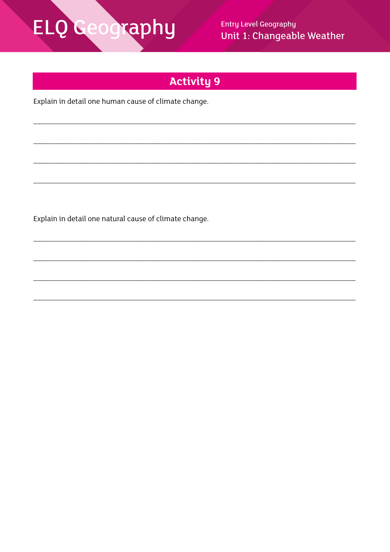# **ELQ Geography**

**Entry Level Geography** Unit 1: Changeable Weather

### **Activity 9**

Explain in detail one human cause of climate change.

Explain in detail one natural cause of climate change.